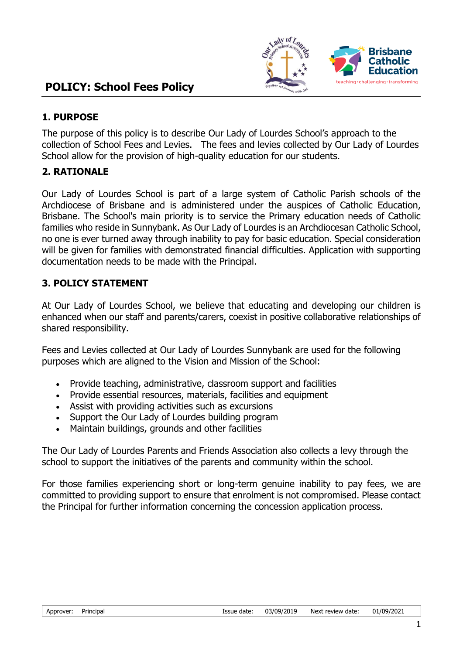

## **1. PURPOSE**

The purpose of this policy is to describe Our Lady of Lourdes School's approach to the collection of School Fees and Levies. The fees and levies collected by Our Lady of Lourdes School allow for the provision of high-quality education for our students.

# **2. RATIONALE**

Our Lady of Lourdes School is part of a large system of Catholic Parish schools of the Archdiocese of Brisbane and is administered under the auspices of Catholic Education, Brisbane. The School's main priority is to service the Primary education needs of Catholic families who reside in Sunnybank. As Our Lady of Lourdes is an Archdiocesan Catholic School, no one is ever turned away through inability to pay for basic education. Special consideration will be given for families with demonstrated financial difficulties. Application with supporting documentation needs to be made with the Principal.

# **3. POLICY STATEMENT**

At Our Lady of Lourdes School, we believe that educating and developing our children is enhanced when our staff and parents/carers, coexist in positive collaborative relationships of shared responsibility.

Fees and Levies collected at Our Lady of Lourdes Sunnybank are used for the following purposes which are aligned to the Vision and Mission of the School:

- Provide teaching, administrative, classroom support and facilities
- Provide essential resources, materials, facilities and equipment
- Assist with providing activities such as excursions
- Support the Our Lady of Lourdes building program
- Maintain buildings, grounds and other facilities

The Our Lady of Lourdes Parents and Friends Association also collects a levy through the school to support the initiatives of the parents and community within the school.

For those families experiencing short or long-term genuine inability to pay fees, we are committed to providing support to ensure that enrolment is not compromised. Please contact the Principal for further information concerning the concession application process.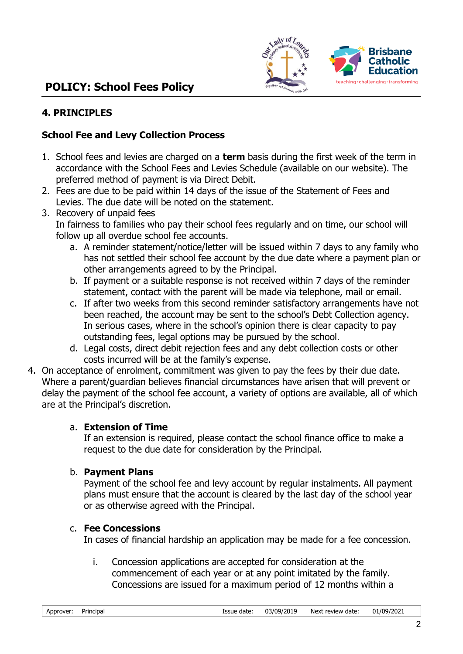

# **POLICY: School Fees Policy**

# **4. PRINCIPLES**

## **School Fee and Levy Collection Process**

- 1. School fees and levies are charged on a **term** basis during the first week of the term in accordance with the School Fees and Levies Schedule (available on our website). The preferred method of payment is via Direct Debit.
- 2. Fees are due to be paid within 14 days of the issue of the Statement of Fees and Levies. The due date will be noted on the statement.
- 3. Recovery of unpaid fees

In fairness to families who pay their school fees regularly and on time, our school will follow up all overdue school fee accounts.

- a. A reminder statement/notice/letter will be issued within 7 days to any family who has not settled their school fee account by the due date where a payment plan or other arrangements agreed to by the Principal.
- b. If payment or a suitable response is not received within 7 days of the reminder statement, contact with the parent will be made via telephone, mail or email.
- c. If after two weeks from this second reminder satisfactory arrangements have not been reached, the account may be sent to the school's Debt Collection agency. In serious cases, where in the school's opinion there is clear capacity to pay outstanding fees, legal options may be pursued by the school.
- d. Legal costs, direct debit rejection fees and any debt collection costs or other costs incurred will be at the family's expense.
- 4. On acceptance of enrolment, commitment was given to pay the fees by their due date. Where a parent/guardian believes financial circumstances have arisen that will prevent or delay the payment of the school fee account, a variety of options are available, all of which are at the Principal's discretion.

## a. **Extension of Time**

If an extension is required, please contact the school finance office to make a request to the due date for consideration by the Principal.

## b. **Payment Plans**

Payment of the school fee and levy account by regular instalments. All payment plans must ensure that the account is cleared by the last day of the school year or as otherwise agreed with the Principal.

## c. **Fee Concessions**

In cases of financial hardship an application may be made for a fee concession.

i. Concession applications are accepted for consideration at the commencement of each year or at any point imitated by the family. Concessions are issued for a maximum period of 12 months within a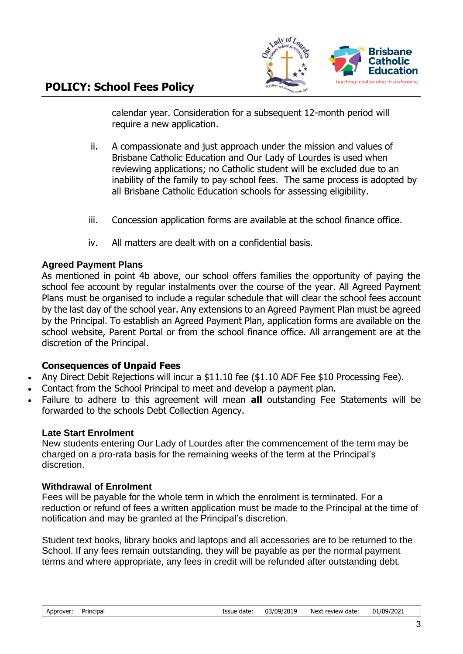

calendar year. Consideration for a subsequent 12-month period will require a new application.

- ii. A compassionate and just approach under the mission and values of Brisbane Catholic Education and Our Lady of Lourdes is used when reviewing applications; no Catholic student will be excluded due to an inability of the family to pay school fees. The same process is adopted by all Brisbane Catholic Education schools for assessing eligibility.
- iii. Concession application forms are available at the school finance office.
- iv. All matters are dealt with on a confidential basis.

#### **Agreed Payment Plans**

As mentioned in point 4b above, our school offers families the opportunity of paying the school fee account by regular instalments over the course of the year. All Agreed Payment Plans must be organised to include a regular schedule that will clear the school fees account by the last day of the school year. Any extensions to an Agreed Payment Plan must be agreed by the Principal. To establish an Agreed Payment Plan, application forms are available on the school website, Parent Portal or from the school finance office. All arrangement are at the discretion of the Principal.

## **Consequences of Unpaid Fees**

- Any Direct Debit Rejections will incur a \$11.10 fee (\$1.10 ADF Fee \$10 Processing Fee).
- Contact from the School Principal to meet and develop a payment plan.
- Failure to adhere to this agreement will mean **all** outstanding Fee Statements will be forwarded to the schools Debt Collection Agency.

#### **Late Start Enrolment**

New students entering Our Lady of Lourdes after the commencement of the term may be charged on a pro-rata basis for the remaining weeks of the term at the Principal's discretion.

#### **Withdrawal of Enrolment**

Fees will be payable for the whole term in which the enrolment is terminated. For a reduction or refund of fees a written application must be made to the Principal at the time of notification and may be granted at the Principal's discretion.

Student text books, library books and laptops and all accessories are to be returned to the School. If any fees remain outstanding, they will be payable as per the normal payment terms and where appropriate, any fees in credit will be refunded after outstanding debt.